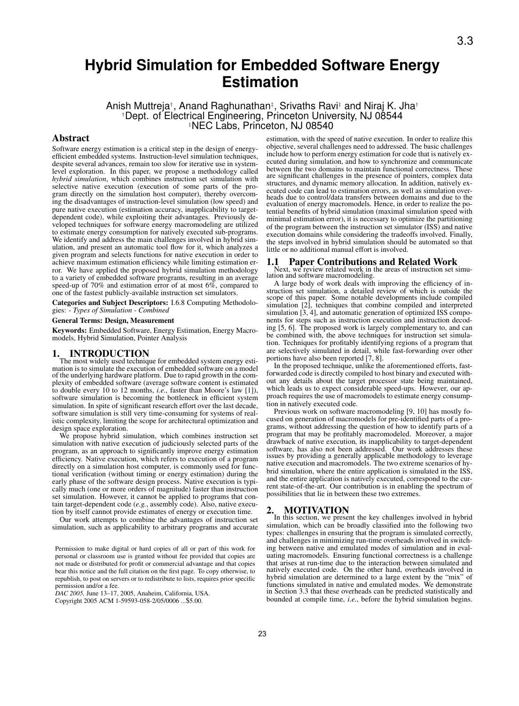# **Hybrid Simulation for Embedded Software Energy Estimation**

Anish Muttreja†, Anand Raghunathan‡, Srivaths Ravi‡ and Niraj K. Jha† †Dept. of Electrical Engineering, Princeton University, NJ 08544 ‡NEC Labs, Princeton, NJ 08540

# **Abstract**

Software energy estimation is a critical step in the design of energyefficient embedded systems. Instruction-level simulation techniques, despite several advances, remain too slow for iterative use in systemlevel exploration. In this paper, we propose a methodology called *hybrid simulation*, which combines instruction set simulation with selective native execution (execution of some parts of the program directly on the simulation host computer), thereby overcoming the disadvantages of instruction-level simulation (low speed) and pure native execution (estimation accuracy, inapplicability to targetdependent code), while exploiting their advantages. Previously developed techniques for software energy macromodeling are utilized to estimate energy consumption for natively executed sub-programs. We identify and address the main challenges involved in hybrid simulation, and present an automatic tool flow for it, which analyzes a given program and selects functions for native execution in order to achieve maximum estimation efficiency while limiting estimation error. We have applied the proposed hybrid simulation methodology to a variety of embedded software programs, resulting in an average speed-up of 70% and estimation error of at most 6%, compared to one of the fastest publicly-available instruction set simulators.

**Categories and Subject Descriptors:** I.6.8 Computing Methodologies: *- Types of Simulation - Combined*

#### **General Terms: Design, Measurement**

**Keywords:** Embedded Software, Energy Estimation, Energy Macromodels, Hybrid Simulation, Pointer Analysis

# **1. INTRODUCTION**

The most widely used technique for embedded system energy estimation is to simulate the execution of embedded software on a model of the underlying hardware platform. Due to rapid growth in the complexity of embedded software (average software content is estimated to double every 10 to 12 months, *i.e.*, faster than Moore's law [1]), software simulation is becoming the bottleneck in efficient system simulation. In spite of significant research effort over the last decade, software simulation is still very time-consuming for systems of realistic complexity, limiting the scope for architectural optimization and design space exploration.

We propose hybrid simulation, which combines instruction set simulation with native execution of judiciously selected parts of the program, as an approach to significantly improve energy estimation efficiency. Native execution, which refers to execution of a program directly on a simulation host computer, is commonly used for functional verification (without timing or energy estimation) during the early phase of the software design process. Native execution is typically much (one or more orders of magnitude) faster than instruction set simulation. However, it cannot be applied to programs that contain target-dependent code (*e.g.*, assembly code). Also, native execution by itself cannot provide estimates of energy or execution time.

Our work attempts to combine the advantages of instruction set simulation, such as applicability to arbitrary programs and accurate

*DAC 2005,* June 13–17, 2005, Anaheim, California, USA.

Copyright 2005 ACM 1-59593-058-2/05/0006 ...\$5.00.

estimation, with the speed of native execution. In order to realize this objective, several challenges need to addressed. The basic challenges include how to perform energy estimation for code that is natively executed during simulation, and how to synchronize and communicate between the two domains to maintain functional correctness. These are significant challenges in the presence of pointers, complex data structures, and dynamic memory allocation. In addition, natively executed code can lead to estimation errors, as well as simulation overheads due to control/data transfers between domains and due to the evaluation of energy macromodels. Hence, in order to realize the potential benefits of hybrid simulation (maximal simulation speed with minimal estimation error), it is necessary to optimize the partitioning of the program between the instruction set simulator (ISS) and native execution domains while considering the tradeoffs involved. Finally, the steps involved in hybrid simulation should be automated so that little or no additional manual effort is involved.

# **1.1 Paper Contributions and Related Work**

Next, we review related work in the areas of instruction set simulation and software macromodeling.

A large body of work deals with improving the efficiency of instruction set simulation, a detailed review of which is outside the scope of this paper. Some notable developments include compiled simulation [2], techniques that combine compiled and interpreted simulation [3, 4], and automatic generation of optimized ISS components for steps such as instruction execution and instruction decoding [5, 6]. The proposed work is largely complementary to, and can be combined with, the above techniques for instruction set simulation. Techniques for profitably identifying regions of a program that are selectively simulated in detail, while fast-forwarding over other portions have also been reported [7, 8].

In the proposed technique, unlike the aforementioned efforts, fastforwarded code is directly compiled to host binary and executed without any details about the target processor state being maintained, which leads us to expect considerable speed-ups. However, our approach requires the use of macromodels to estimate energy consumption in natively executed code.

Previous work on software macromodeling [9, 10] has mostly focused on generation of macromodels for pre-identified parts of a programs, without addressing the question of how to identify parts of a program that may be profitably macromodeled. Moreover, a major drawback of native execution, its inapplicability to target-dependent software, has also not been addressed. Our work addresses these issues by providing a generally applicable methodology to leverage native execution and macromodels. The two extreme scenarios of hybrid simulation, where the entire application is simulated in the ISS, and the entire application is natively executed, correspond to the current state-of-the-art. Our contribution is in enabling the spectrum of possibilities that lie in between these two extremes.

**2. MOTIVATION** In this section, we present the key challenges involved in hybrid simulation, which can be broadly classified into the following two types: challenges in ensuring that the program is simulated correctly, and challenges in minimizing run-time overheads involved in switching between native and emulated modes of simulation and in evaluating macromodels. Ensuring functional correctness is a challenge that arises at run-time due to the interaction between simulated and natively executed code. On the other hand, overheads involved in hybrid simulation are determined to a large extent by the "mix" of functions simulated in native and emulated modes. We demonstrate in Section 3.3 that these overheads can be predicted statistically and bounded at compile time, *i.e.*, before the hybrid simulation begins.

Permission to make digital or hard copies of all or part of this work for personal or classroom use is granted without fee provided that copies are not made or distributed for profit or commercial advantage and that copies bear this notice and the full citation on the first page. To copy otherwise, to republish, to post on servers or to redistribute to lists, requires prior specific permission and/or a fee.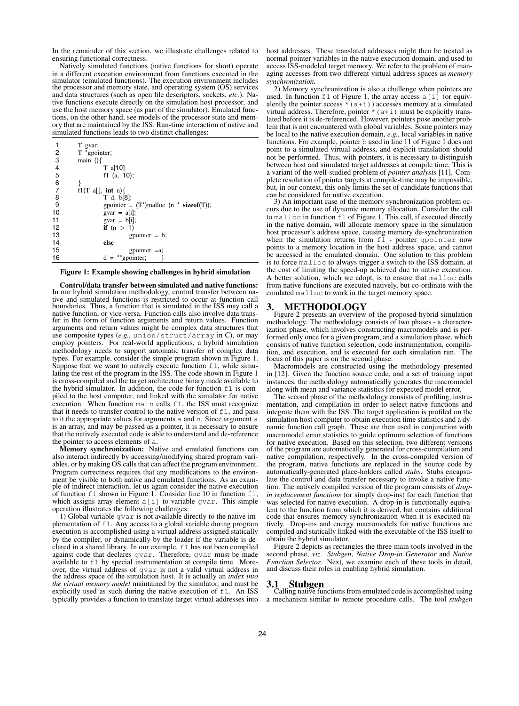In the remainder of this section, we illustrate challenges related to ensuring functional correctness.

Natively simulated functions (native functions for short) operate in a different execution environment from functions executed in the simulator (emulated functions). The execution environment includes the processor and memory state, and operating system (OS) services and data structures (such as open file descriptors, sockets, *etc.*). Native functions execute directly on the simulation host processor, and use the host memory space (as part of the simulator). Emulated functions, on the other hand, see models of the processor state and memory that are maintained by the ISS. Run-time interaction of native and simulated functions leads to two distinct challenges:

| T gvar;                                    |
|--------------------------------------------|
| T *gpointer;                               |
| main $()$                                  |
| T a[10]                                    |
| f1 (a, $10$ );                             |
|                                            |
| $f1(T \text{ a}$ [], int n){               |
| $T d, b[8]$ ;                              |
| gpointer = $(T^*)$ malloc (n * sizeof(T)); |
| $\text{gvar} = \text{a[i]}$ ;              |
| $gvar = b[i]$ ;                            |
| if $(n > 1)$                               |
| gpointer $= b$ ;                           |
| else                                       |
| gpointer $=a$ ;                            |
| $d =$ **gpointer;                          |
|                                            |

#### **Figure 1: Example showing challenges in hybrid simulation**

**Control/data transfer between simulated and native functions:** In our hybrid simulation methodology, control transfer between native and simulated functions is restricted to occur at function call boundaries. Thus, a function that is simulated in the ISS may call a native function, or vice-versa. Function calls also involve data transfer in the form of function arguments and return values. Function arguments and return values might be complex data structures that use composite types (*e.g.*, union/struct/array in C), or may employ pointers. For real-world applications, a hybrid simulation methodology needs to support automatic transfer of complex data types. For example, consider the simple program shown in Figure 1. Suppose that we want to natively execute function  $\pm 1$ , while simulating the rest of the program in the ISS. The code shown in Figure 1 is cross-compiled and the target architecture binary made available to the hybrid simulator. In addition, the code for function  $f1$  is compiled to the host computer, and linked with the simulator for native execution. When function main calls  $f1$ , the ISS must recognize that it needs to transfer control to the native version of  $\pm 1$ , and pass to it the appropriate values for arguments a and n. Since argument a is an array, and may be passed as a pointer, it is necessary to ensure that the natively executed code is able to understand and de-reference the pointer to access elements of a.

**Memory synchronization:** Native and emulated functions can also interact indirectly by accessing/modifying shared program variables, or by making OS calls that can affect the program environment. Program correctness requires that any modifications to the environment be visible to both native and emulated functions. As an example of indirect interaction, let us again consider the native execution of function  $f1$  shown in Figure 1. Consider line 10 in function  $f1$ , which assigns array element  $a[i]$  to variable gvar. This simple operation illustrates the following challenges:

1) Global variable gvar is not available directly to the native implementation of f1. Any access to a global variable during program execution is accomplished using a virtual address assigned statically by the compiler, or dynamically by the loader if the variable is declared in a shared library. In our example,  $f1$  has not been compiled against code that declares gvar. Therefore, gvar must be made available to f1 by special instrumentation at compile time. Moreover, the virtual address of gvar is not a valid virtual address in the address space of the simulation host. It is actually an *index into the virtual memory model* maintained by the simulator, and must be explicitly used as such during the native execution of  $\pm 1$ . An ISS typically provides a function to translate target virtual addresses into host addresses. These translated addresses might then be treated as normal pointer variables in the native execution domain, and used to access ISS-modeled target memory. We refer to the problem of managing accesses from two different virtual address spaces as *memory synchronization.*

2) Memory synchronization is also a challenge when pointers are used. In function  $\pm 1$  of Figure 1, the array access a  $[i]$  (or equivalently the pointer access  $\star$  (a+i)) accesses memory at a simulated virtual address. Therefore, pointer  $*(a+i)$  must be explicitly translated before it is de-referenced. However, pointers pose another problem that is not encountered with global variables. Some pointers may be local to the native execution domain, *e.g.*, local variables in native functions. For example, pointer b used in line 11 of Figure 1 does not point to a simulated virtual address, and explicit translation should not be performed. Thus, with pointers, it is necessary to distinguish between host and simulated target addresses at compile time. This is a variant of the well-studied problem of *pointer analysis* [11]. Complete resolution of pointer targets at compile-time may be impossible, but, in our context, this only limits the set of candidate functions that can be considered for native execution.

3) An important case of the memory synchronization problem occurs due to the use of dynamic memory allocation. Consider the call to malloc in function f1 of Figure 1. This call, if executed directly in the native domain, will allocate memory space in the simulation host processor's address space, causing memory de-synchronization when the simulation returns from  $f1$  - pointer gpointer now points to a memory location in the host address space, and cannot be accessed in the emulated domain. One solution to this problem is to force malloc to always trigger a switch to the ISS domain, at the cost of limiting the speed-up achieved due to native execution. A better solution, which we adopt, is to ensure that malloc calls from native functions are executed natively, but co-ordinate with the emulated malloc to work in the target memory space.

**3. METHODOLOGY** Figure 2 presents an overview of the proposed hybrid simulation methodology. The methodology consists of two phases - a characterization phase, which involves constructing macromodels and is performed only once for a given program, and a simulation phase, which consists of native function selection, code instrumentation, compilation, and execution, and is executed for each simulation run. The focus of this paper is on the second phase.

Macromodels are constructed using the methodology presented in [12]. Given the function source code, and a set of training input instances, the methodology automatically generates the macromodel along with mean and variance statistics for expected model error.

The second phase of the methodology consists of profiling, instrumentation, and compilation in order to select native functions and integrate them with the ISS. The target application is profiled on the simulation host computer to obtain execution time statistics and a dynamic function call graph. These are then used in conjunction with macromodel error statistics to guide optimum selection of functions for native execution. Based on this selection, two different versions of the program are automatically generated for cross-compilation and native compilation, respectively. In the cross-compiled version of the program, native functions are replaced in the source code by automatically-generated place-holders called *stubs*. Stubs encapsulate the control and data transfer necessary to invoke a native function. The natively compiled version of the program consists of *dropin replacement functions* (or simply drop-ins) for each function that was selected for native execution. A drop-in is functionally equivalent to the function from which it is derived, but contains additional code that ensures memory synchronization when it is executed natively. Drop-ins and energy macromodels for native functions are compiled and statically linked with the executable of the ISS itself to obtain the hybrid simulator.

Figure 2 depicts as rectangles the three main tools involved in the second phase, *viz. Stubgen*, *Native Drop-in Generator* and *Native Function Selector*. Next, we examine each of these tools in detail, and discuss their roles in enabling hybrid simulation.

#### **3.1 Stubgen**

Calling native functions from emulated code is accomplished using a mechanism similar to remote procedure calls. The tool *stubgen*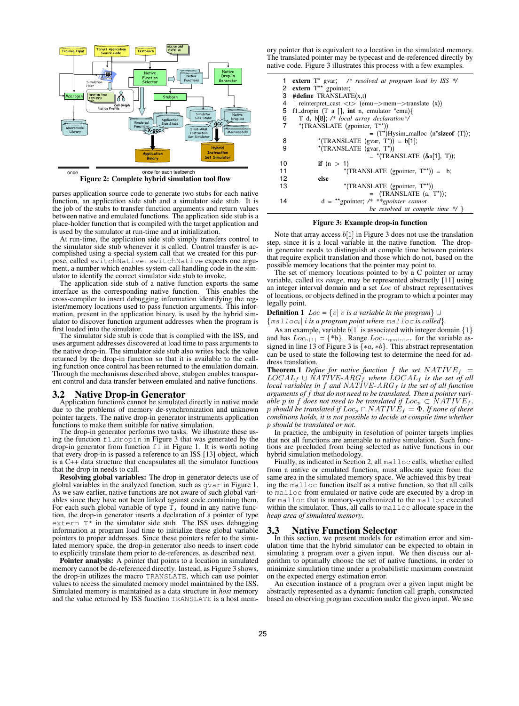

parses application source code to generate two stubs for each native function, an application side stub and a simulator side stub. It is the job of the stubs to transfer function arguments and return values between native and emulated functions. The application side stub is a place-holder function that is compiled with the target application and is used by the simulator at run-time and at initialization.

At run-time, the application side stub simply transfers control to the simulator side stub whenever it is called. Control transfer is accomplished using a special system call that we created for this purpose, called switchNative. switchNative expects one argument, a number which enables system-call handling code in the simulator to identify the correct simulator side stub to invoke.

The application side stub of a native function exports the same interface as the corresponding native function. This enables the cross-compiler to insert debugging information identifying the register/memory locations used to pass function arguments. This information, present in the application binary, is used by the hybrid simulator to discover function argument addresses when the program is first loaded into the simulator.

The simulator side stub is code that is complied with the ISS, and uses argument addresses discovered at load time to pass arguments to the native drop-in. The simulator side stub also writes back the value returned by the drop-in function so that it is available to the calling function once control has been returned to the emulation domain. Through the mechanisms described above, stubgen enables transparent control and data transfer between emulated and native functions.

## **3.2 Native Drop-in Generator**

Application functions cannot be simulated directly in native mode due to the problems of memory de-synchronization and unknown pointer targets. The native drop-in generator instruments application functions to make them suitable for native simulation.

The drop-in generator performs two tasks. We illustrate these using the function f1 dropin in Figure 3 that was generated by the drop-in generator from function  $f1$  in Figure 1. It is worth noting that every drop-in is passed a reference to an ISS [13] object, which is a C++ data structure that encapsulates all the simulator functions that the drop-in needs to call.

**Resolving global variables:** The drop-in generator detects use of global variables in the analyzed function, such as gvar in Figure 1. As we saw earlier, native functions are not aware of such global variables since they have not been linked against code containing them. For each such global variable of type  $T$ , found in any native function, the drop-in generator inserts a declaration of a pointer of type extern  $T^*$  in the simulator side stub. The ISS uses debugging information at program load time to initialize these global variable pointers to proper addresses. Since these pointers refer to the simulated memory space, the drop-in generator also needs to insert code to explicitly translate them prior to de-references, as described next.

**Pointer analysis:** A pointer that points to a location in simulated memory cannot be de-referenced directly. Instead, as Figure 3 shows, the drop-in utilizes the macro TRANSLATE, which can use pointer values to access the simulated memory model maintained by the ISS. Simulated memory is maintained as a data structure in *host* memory and the value returned by ISS function TRANSLATE is a host memory pointer that is equivalent to a location in the simulated memory. The translated pointer may be typecast and de-referenced directly by native code. Figure 3 illustrates this process with a few examples.

| 1  | <b>extern</b> $T^*$ gvar, $\frac{1}{2}$ resolved at program load by ISS $\frac{1}{2}$ |  |  |  |  |  |
|----|---------------------------------------------------------------------------------------|--|--|--|--|--|
| 2  | extern $T^*$ gpointer;                                                                |  |  |  |  |  |
| 3  | <b>#define</b> $TRANSLATE(x,t)$                                                       |  |  |  |  |  |
| 4  | reinterpret_cast $\langle t \rangle$ (emu->mem->translate (x))                        |  |  |  |  |  |
| 5  | f1_dropin (T a [], int n, emulator $*$ emu){                                          |  |  |  |  |  |
| 6  | T d, $b[8]$ ; /* local array declaration*/                                            |  |  |  |  |  |
| 7  | $*(\text{TRANSLATE (gpointer}, T^{**}))$                                              |  |  |  |  |  |
|    | $=$ $(T^*)$ Hysim_malloc $(n^*$ <b>sizeof</b> $(T)$ );                                |  |  |  |  |  |
| 8  | *(TRANSLATE (gvar, $T^*$ )) = b[1];                                                   |  |  |  |  |  |
| 9  | $*(\text{TRANSLATE (gvar, T^*))$                                                      |  |  |  |  |  |
|    | $=$ *(TRANSLATE (&a[1], T));                                                          |  |  |  |  |  |
| 10 | if $(n > 1)$                                                                          |  |  |  |  |  |
| 11 | *(TRANSLATE (gpointer, $T^{**}$ )) = b;                                               |  |  |  |  |  |
| 12 | else                                                                                  |  |  |  |  |  |
| 13 | $*(\text{TRANSLATE (gpointer}, T^{**}))$                                              |  |  |  |  |  |
|    | $=$ (TRANSLATE $(a, T^*)$ );                                                          |  |  |  |  |  |
| 14 | $d =$ **gpointer; /* **gpointer cannot                                                |  |  |  |  |  |
|    | be resolved at compile time $*/$                                                      |  |  |  |  |  |

#### **Figure 3: Example drop-in function**

Note that array access  $b[1]$  in Figure 3 does not use the translation step, since it is a local variable in the native function. The dropin generator needs to distinguish at compile time between pointers that require explicit translation and those which do not, based on the possible memory locations that the pointer may point to.

The set of memory locations pointed to by a C pointer or array variable, called its *range*, may be represented abstractly [11] using an integer interval domain and a set Loc of abstract representatives of locations, or objects defined in the program to which a pointer may legally point.

**Definition 1** Loc =  $\{v \mid v \text{ is a variable in the program}\}\cup\{v\}$ 

 $\{$ malloc<sub>i</sub></sub>  $\}i$  *is a program point where malloc is called* $\}$ .

As an example, variable  $b[1]$  is associated with integer domain  $\{1\}$ and has  $Loc_{b[1]} = {\*b}$ . Range  $Loc_{* \text{spointer}}$  for the variable assigned in line 13 of Figure 3 is  $\{*a, *b\}$ . This abstract representation can be used to state the following test to determine the need for address translation.

**Theorem 1** *Define for native function f the set*  $NATIVE<sub>f</sub>$  =  $LOCAL<sub>f</sub> ∪ NATIVE-ARG<sub>f</sub>$  *where*  $LOCAL<sub>f</sub>$  *is the set of all local variables in*  $f$  *and*  $NATIVE-ARG$  $f$  *is the set of all function arguments of* f *that do not need to be translated. Then a pointer variable* p in f does not need to be translated if  $Loc_p \subset NATIVE_f$ .  $p$  should be translated if  $Loc_p \cap NATIVE_f = \Phi$ . If none of these *conditions holds, it is not possible to decide at compile time whether* p *should be translated or not.*

In practice, the ambiguity in resolution of pointer targets implies that not all functions are amenable to native simulation. Such functions are precluded from being selected as native functions in our hybrid simulation methodology.

Finally, as indicated in Section 2, all malloc calls, whether called from a native or emulated function, must allocate space from the same area in the simulated memory space. We achieved this by treating the malloc function itself as a native function, so that all calls to malloc from emulated or native code are executed by a drop-in for malloc that is memory-synchronized to the malloc executed within the simulator. Thus, all calls to  $\text{mall} \circ \text{l}$  allocate space in the *heap area of simulated memory*.

### **3.3 Native Function Selector**

In this section, we present models for estimation error and simulation time that the hybrid simulator can be expected to obtain in simulating a program over a given input. We then discuss our algorithm to optimally choose the set of native functions, in order to minimize simulation time under a probabilistic maximum constraint on the expected energy estimation error.

An execution instance of a program over a given input might be abstractly represented as a dynamic function call graph, constructed based on observing program execution under the given input. We use